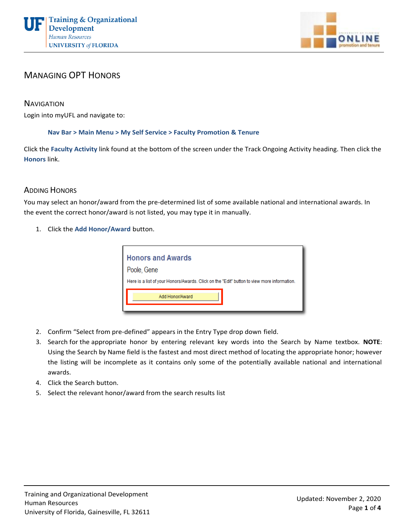

# MANAGING OPT HONORS

**NAVIGATION** 

Login into myUFL and navigate to:

**Nav Bar > Main Menu > My Self Service > Faculty Promotion & Tenure**

Click the **Faculty Activity** link found at the bottom of the screen under the Track Ongoing Activity heading. Then click the **Honors** link.

# ADDING HONORS

You may select an honor/award from the pre-determined list of some available national and international awards. In the event the correct honor/award is not listed, you may type it in manually.

1. Click the **Add Honor/Award** button.

| <b>Honors and Awards</b><br>Poole, Gene                                                    |  |  |  |  |
|--------------------------------------------------------------------------------------------|--|--|--|--|
| Here is a list of your Honors/Awards. Click on the "Edit" button to view more information. |  |  |  |  |
| Add Honor/Award                                                                            |  |  |  |  |

- 2. Confirm "Select from pre-defined" appears in the Entry Type drop down field.
- 3. Search for the appropriate honor by entering relevant key words into the Search by Name textbox. **NOTE**: Using the Search by Name field is the fastest and most direct method of locating the appropriate honor; however the listing will be incomplete as it contains only some of the potentially available national and international awards.
- 4. Click the Search button.
- 5. Select the relevant honor/award from the search results list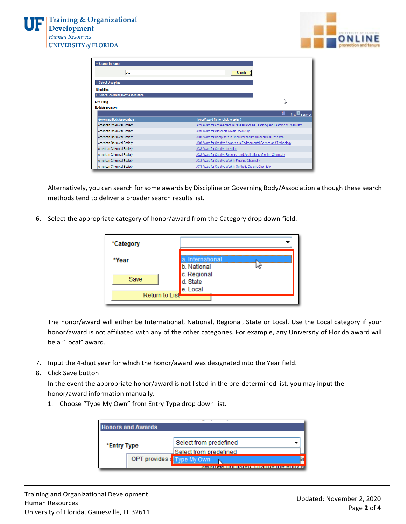

| <b>Search by Name</b>               |                                                                                  |
|-------------------------------------|----------------------------------------------------------------------------------|
| acs                                 | Search                                                                           |
| <b>Select Discipline</b><br>▸       |                                                                                  |
| <b>Discipline</b>                   |                                                                                  |
| ▶ Select Governing Body/Association |                                                                                  |
| <b>Governing</b>                    | hý                                                                               |
| <b>Body/Association</b>             |                                                                                  |
|                                     | Ħ<br>First 4.26 of 26                                                            |
| <b>Governing Body/Association</b>   | Honor/Award Name (Click to select)                                               |
| American Chemical Society           | ACS Award for Achievement in Research for the Teaching and Learning of Chemistry |
| American Chemical Society           | ACS Award for Affordable Green Chemistry                                         |
| American Chemical Society           | ACS Award for Computers in Chemical and Pharmaceutical Research                  |
| American Chemical Society           | ACS Award for Creative Advances in Environmental Science and Technology          |
| American Chemical Society           | ACS Award for Creative Invention                                                 |
| American Chemical Society           | ACS Award for Creative Research and Applications of lodine Chemistry             |
| American Chemical Society           | ACS Award for Creative Work in Fluorine Chemistry                                |
| American Chemical Society           | ACS Award for Creative Work in Synthetic Organic Chemistry                       |

Alternatively, you can search for some awards by Discipline or Governing Body/Association although these search methods tend to deliver a broader search results list.

6. Select the appropriate category of honor/award from the Category drop down field.



The honor/award will either be International, National, Regional, State or Local. Use the Local category if your honor/award is not affiliated with any of the other categories. For example, any University of Florida award will be a "Local" award.

- 7. Input the 4-digit year for which the honor/award was designated into the Year field.
- 8. Click Save button

In the event the appropriate honor/award is not listed in the pre-determined list, you may input the honor/award information manually.

1. Choose "Type My Own" from Entry Type drop down list.

|             | <b>Honors and Awards</b> |                                 |
|-------------|--------------------------|---------------------------------|
| *Entry Type |                          | Select from predefined          |
|             |                          | Select from predefined          |
|             | OPT provides             |                                 |
|             |                          | awarows norusreo coange me enin |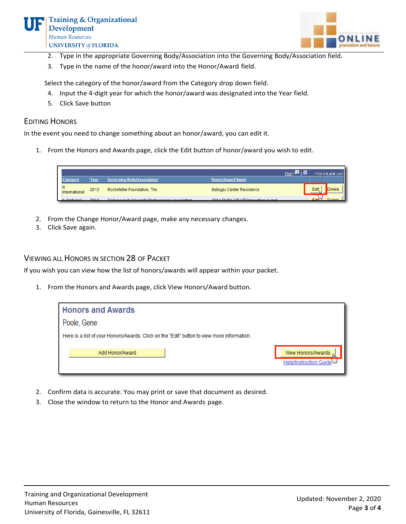

- 2. Type in the appropriate Governing Body/Association into the Governing Body/Association field.
- 3. Type in the name of the honor/award into the Honor/Award field.

Select the category of the honor/award from the Category drop down field.

- 4. Input the 4-digit year for which the honor/award was designated into the Year field.
- 5. Click Save button

## EDITING HONORS

In the event you need to change something about an honor/award, you can edit it.

1. From the Honors and Awards page, click the Edit button of honor/award you wish to edit.

| ategory:          | Year | Governing Body/Association                       | Anor/Award Name                  |      |        |
|-------------------|------|--------------------------------------------------|----------------------------------|------|--------|
| la.               | 2013 | Rockefeller Foundation, The                      | <b>Bellagio Center Residence</b> | Edit | Delete |
| <b>b</b> Motional | 0044 | College and University Drefensional Association. | 0014 OUDA UD UD Innovation Award |      | Dale   |

- 2. From the Change Honor/Award page, make any necessary changes.
- 3. Click Save again.

VIEWING ALL HONORS IN SECTION 28 OF PACKET

If you wish you can view how the list of honors/awards will appear within your packet.

1. From the Honors and Awards page, click View Honors/Award button.

| <b>Honors and Awards</b>                                                                   |                        |
|--------------------------------------------------------------------------------------------|------------------------|
| Poole, Gene                                                                                |                        |
| Here is a list of your Honors/Awards. Click on the "Edit" button to view more information. |                        |
| Add Honor/Award                                                                            | View Honors/Awards     |
|                                                                                            | Help/Instruction Guide |

- 2. Confirm data is accurate. You may print or save that document as desired.
- 3. Close the window to return to the Honor and Awards page.